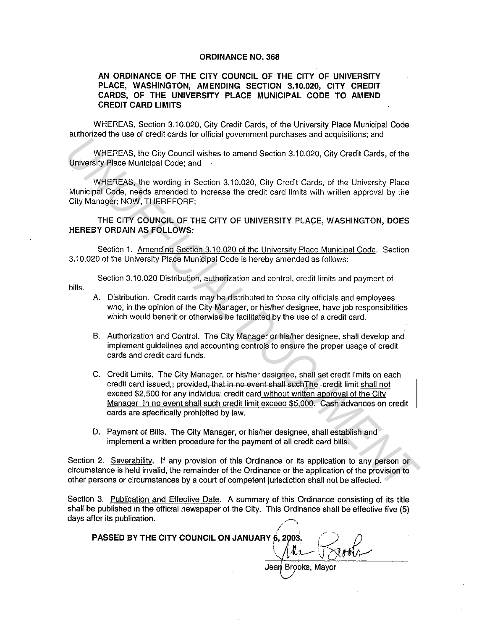## ORDINANCE NO. 368

## AN ORDINANCE OF THE CITY COUNCIL OF THE CITY OF UNIVERSITY PLACE, WASHINGTON, AMENDING SECTION 3.10.020, CITY CREDIT CARDS, OF THE UNIVERSITY PLACE MUNICIPAL CODE TO AMEND CREDIT CARD LIMITS

WHEREAS, Section 3.10.020, City Credit Cards, of the University Place Municipal Code authorized the use of credit cards for official government purchases and acquisitions; and

WHEREAS, the City Council wishes to amend Section 3.10.020, City Credit Cards, of the University Place Municipal Code; and

WHEREAS, the wording in Section 3.10.020, City Credit Cards, of the University Place Municipal Code, needs amended to increase the credit card limits with written approval by the City Manager; NOW, THEREFORE:

THE CITY COUNCIL OF THE CITY OF UNIVERSITY PLACE, WASHINGTON, DOES HEREBY ORDAIN AS FOLLOWS:

Section 1. Amending Section 3.10.020 of the University Place Municipal Code. Section 3.10.020 of the University Place Municipal Code is hereby amended as follows:

Section 3.10.020 Distribution, authorization and control, credit limits and payment of

bills.

- A. Distribution. Credit cards may be distributed to those city officials and employees who, in the opinion of the City Manager, or his/her designee, have job responsibilities which would benefit or otherwise be facilitated by the use of a credit card.
- · B. Authorization and Control. The City Manager or his/her designee, shall develop and implement guidelines and accounting controls to ensure the proper usage of credit cards and credit card funds.
- C. Credit Limits. The City Manager, or his/her designee, shall set credit limits on each credit card issued.; provided, that in no event shall such The -credit limit shall not exceed \$2,500 for any individual credit card without written approval of the City Manager In no event shall such credit limit exceed \$5.000. Cash advances on credit cards are specifically prohibited by law. **WHEREAS, the City Council wishes to amend Section 3.10.020, City Credit Cards, of the<br>
University Place Municipal Code; and<br>
WHEREAS, the city Council wishes to amend Section 3.10.020, City Credit Cards, of the<br>
Municipal** 
	- D. Payment of Bills. The City Manager, or his/her designee, shall establish and implement a written procedure for the payment of all credit card bills.

Section 2. Severability. If any provision of this Ordinance or its application to any person or circumstance is held invalid, the remainder of the Ordinance or the application of the provision to other persons or circumstances by a court of competent jurisdiction shall not be affected.

Section 3. Publication and Effective Date. A summary of this Ordinance consisting of its title shall be published in the official newspaper of the City. This Ordinance shall be effective five (5) days after its publication.

PASSED BY THE CITY COUNCIL ON JANUARY 6, 2003.

f  $\overbrace{P}$ , 2003.  $\overline{Q}$  0 Jean Brooks, Mayor